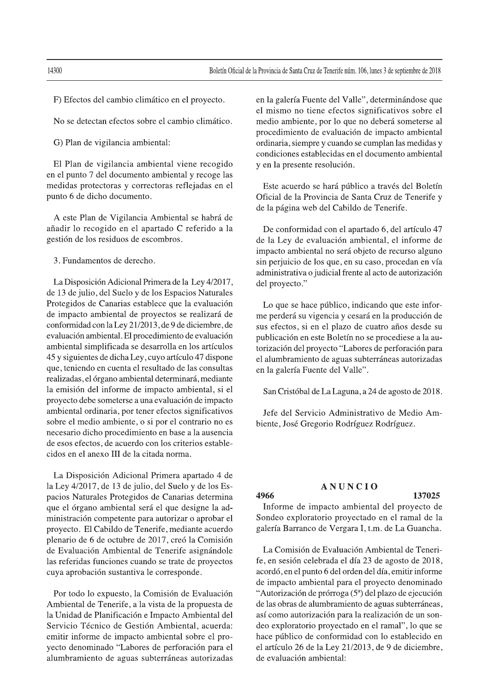F) Efectos del cambio climático en el proyecto.

No se detectan efectos sobre el cambio climático.

G) Plan de vigilancia ambiental:

El Plan de vigilancia ambiental viene recogido en el punto 7 del documento ambiental y recoge las medidas protectoras y correctoras reflejadas en el punto 6 de dicho documento.

A este Plan de Vigilancia Ambiental se habrá de añadir lo recogido en el apartado C referido a la gestión de los residuos de escombros.

3. Fundamentos de derecho.

La Disposición Adicional Primera de la Ley 4/2017, de 13 de julio, del Suelo y de los Espacios Naturales Protegidos de Canarias establece que la evaluación de impacto ambiental de proyectos se realizará de conformidad con la Ley 21/2013, de 9 de diciembre, de evaluación ambiental. El procedimiento de evaluación ambiental simplificada se desarrolla en los artículos 45 y siguientes de dicha Ley, cuyo artículo 47 dispone que, teniendo en cuenta el resultado de las consultas realizadas, el órgano ambiental determinará, mediante la emisión del informe de impacto ambiental, si el proyecto debe someterse a una evaluación de impacto ambiental ordinaria, por tener efectos significativos sobre el medio ambiente, o si por el contrario no es necesario dicho procedimiento en base a la ausencia de esos efectos, de acuerdo con los criterios establecidos en el anexo III de la citada norma.

La Disposición Adicional Primera apartado 4 de la Ley 4/2017, de 13 de julio, del Suelo y de los Espacios Naturales Protegidos de Canarias determina que el órgano ambiental será el que designe la administración competente para autorizar o aprobar el proyecto. El Cabildo de Tenerife, mediante acuerdo plenario de 6 de octubre de 2017, creó la Comisión de Evaluación Ambiental de Tenerife asignándole las referidas funciones cuando se trate de proyectos cuya aprobación sustantiva le corresponde.

Por todo lo expuesto, la Comisión de Evaluación Ambiental de Tenerife, a la vista de la propuesta de la Unidad de Planificación e Impacto Ambiental del Servicio Técnico de Gestión Ambiental, acuerda: emitir informe de impacto ambiental sobre el proyecto denominado "Labores de perforación para el alumbramiento de aguas subterráneas autorizadas en la galería Fuente del Valle", determinándose que el mismo no tiene efectos significativos sobre el medio ambiente, por lo que no deberá someterse al procedimiento de evaluación de impacto ambiental ordinaria, siempre y cuando se cumplan las medidas y condiciones establecidas en el documento ambiental y en la presente resolución.

Este acuerdo se hará público a través del Boletín Oficial de la Provincia de Santa Cruz de Tenerife y de la página web del Cabildo de Tenerife.

De conformidad con el apartado 6, del artículo 47 de la Ley de evaluación ambiental, el informe de impacto ambiental no será objeto de recurso alguno sin perjuicio de los que, en su caso, procedan en vía administrativa o judicial frente al acto de autorización del proyecto."

Lo que se hace público, indicando que este informe perderá su vigencia y cesará en la producción de sus efectos, si en el plazo de cuatro años desde su publicación en este Boletín no se procediese a la autorización del proyecto "Labores de perforación para el alumbramiento de aguas subterráneas autorizadas en la galería Fuente del Valle".

San Cristóbal de La Laguna, a 24 de agosto de 2018.

Jefe del Servicio Administrativo de Medio Ambiente, José Gregorio Rodríguez Rodríguez.

# **ANUNCIO**

### 4966

Informe de impacto ambiental del proyecto de Sondeo exploratorio proyectado en el ramal de la galería Barranco de Vergara I, t.m. de La Guancha.

La Comisión de Evaluación Ambiental de Tenerife, en sesión celebrada el día 23 de agosto de 2018, acordó, en el punto 6 del orden del día, emitir informe de impacto ambiental para el proyecto denominado "Autorización de prórroga (5ª) del plazo de ejecución de las obras de alumbramiento de aguas subterráneas, así como autorización para la realización de un sondeo exploratorio proyectado en el ramal", lo que se hace público de conformidad con lo establecido en el artículo 26 de la Ley 21/2013, de 9 de diciembre, de evaluación ambiental:

14300

137025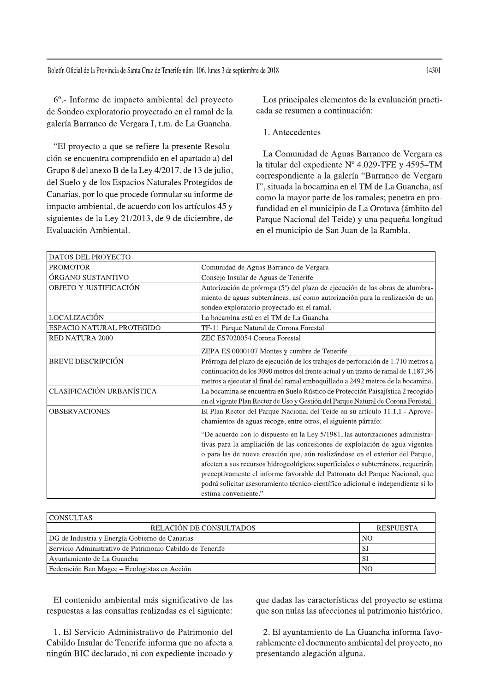6° .- Informe de impacto ambiental del proyecto de Sondeo exploratorio proyectado en el ramal de la galería Barranco de Vergara I, t.m. de La Guancha.

"El proyecto a que se refiere la presente Resolución se encuentra comprendido en el apartado a) del Grupo 8 del anexo B de la Ley 4/2017, de 13 de julio, del Suelo y de los Espacios Naturales Protegidos de Canarias, por lo que procede formular su informe de impacto ambiental, de acuerdo con los artículos 45 y siguientes de la Ley 21/2013, de 9 de diciembre, de Evaluación Ambiental.

Los principales elementos de la evaluación practicada se resumen a continuación:

1. Antecedentes

La Comunidad de Aguas Barranco de Vergara es la titular del expediente Nº 4.029-TFE y 4595-TM correspondiente a la galería "Barranco de Vergara I", situada la bocamina en el TM de La Guancha, así como la mayor parte de los ramales; penetra en profundidad en el municipio de La Orotava (ámbito del Parque Nacional del Teide) y una pequeña longitud en el municipio de San Juan de la Rambla.

| <b>DATOS DEL PROYECTO</b> |                                                                                   |
|---------------------------|-----------------------------------------------------------------------------------|
| <b>PROMOTOR</b>           | Comunidad de Aguas Barranco de Vergara                                            |
| ÓRGANO SUSTANTIVO         | Consejo Insular de Aguas de Tenerife                                              |
| OBJETO Y JUSTIFICACIÓN    | Autorización de prórroga (5ª) del plazo de ejecución de las obras de alumbra-     |
|                           | miento de aguas subterráneas, así como autorización para la realización de un     |
|                           | sondeo exploratorio proyectado en el ramal.                                       |
| LOCALIZACIÓN              | La bocamina está en el TM de La Guancha                                           |
| ESPACIO NATURAL PROTEGIDO | TF-11 Parque Natural de Corona Forestal                                           |
| <b>RED NATURA 2000</b>    | ZEC ES7020054 Corona Forestal                                                     |
|                           | ZEPA ES 0000107 Montes y cumbre de Tenerife                                       |
| <b>BREVE DESCRIPCIÓN</b>  | Prórroga del plazo de ejecución de los trabajos de perforación de 1.710 metros a  |
|                           | continuación de los 3090 metros del frente actual y un tramo de ramal de 1.187,36 |
|                           | metros a ejecutar al final del ramal emboquillado a 2492 metros de la bocamina.   |
| CLASIFICACIÓN URBANÍSTICA | La bocamina se encuentra en Suelo Rústico de Protección Paisajística 2 recogido   |
|                           | en el vigente Plan Rector de Uso y Gestión del Parque Natural de Corona Forestal. |
| <b>OBSERVACIONES</b>      | El Plan Rector del Parque Nacional del Teide en su artículo 11.1.1.- Aprove-      |
|                           | chamientos de aguas recoge, entre otros, el siguiente párrafo:                    |
|                           | "De acuerdo con lo dispuesto en la Ley 5/1981, las autorizaciones administra-     |
|                           | tivas para la ampliación de las concesiones de explotación de agua vigentes       |
|                           | o para las de nueva creación que, aún realizándose en el exterior del Parque,     |
|                           | afecten a sus recursos hidrogeológicos superficiales o subterráneos, requerirán   |
|                           | preceptivamente el informe favorable del Patronato del Parque Nacional, que       |
|                           | podrá solicitar asesoramiento técnico-científico adicional e independiente si lo  |
|                           | estima conveniente."                                                              |

| CONSULTAS                                                 |                  |  |
|-----------------------------------------------------------|------------------|--|
| RELACIÓN DE CONSULTADOS                                   | <b>RESPUESTA</b> |  |
| DG de Industria y Energía Gobierno de Canarias            | NO               |  |
| Servicio Administrativo de Patrimonio Cabildo de Tenerife | -SI              |  |
| Ayuntamiento de La Guancha                                | -SI              |  |
| Federación Ben Magec – Ecologistas en Acción              | NO               |  |

El contenido ambiental más significativo de las respuestas a las consultas realizadas es el siguiente:

1. El Servicio Administrativo de Patrimonio del Cabildo Insular de Tenerife informa que no afecta a ningún BIC declarado, ni con expediente incoado y que dadas las características del proyecto se estima que son nulas las afecciones al patrimonio histórico.

2. El ayuntamiento de La Guancha informa favorablemente el documento ambiental del proyecto, no presentando alegación alguna.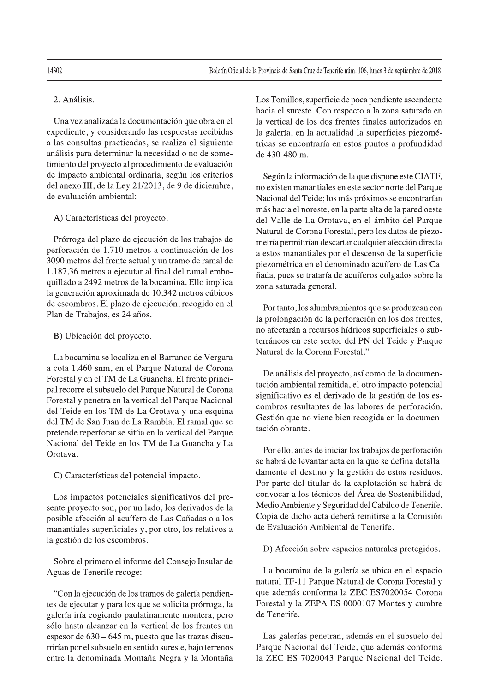Una vez analizada la documentación que obra en el expediente, y considerando las respuestas recibidas a las consultas practicadas, se realiza el siguiente análisis para determinar la necesidad o no de sometimiento del proyecto al procedimiento de evaluación de impacto ambiental ordinaria, según los criterios del anexo III, de la Ley 21/2013, de 9 de diciembre, de evaluación ambiental:

## A) Características del proyecto.

Prórroga del plazo de ejecución de los trabajos de perforación de 1.710 metros a continuación de los 3090 metros del frente actual y un tramo de ramal de 1.187,36 metros a ejecutar al final del ramal emboquillado a 2492 metros de la bocamina. Ello implica la generación aproximada de 10.342 metros cúbicos de escombros. El plazo de ejecución, recogido en el Plan de Trabajos, es 24 años.

### B) Ubicación del proyecto.

La bocamina se localiza en el Barranco de Vergara a cota 1.460 snm, en el Parque Natural de Corona Forestal y en el TM de La Guancha. El frente principal recorre el subsuelo del Parque Natural de Corona Forestal y penetra en la vertical del Parque Nacional del Teide en los TM de La Orotava y una esquina del TM de San Juan de La Rambla. El ramal que se pretende reperforar se sitúa en la vertical del Parque Nacional del Teide en los TM de La Guancha y La Orotava.

C) Características del potencial impacto.

Los impactos potenciales significativos del presente proyecto son, por un lado, los derivados de la posible afección al acuífero de Las Cañadas o a los manantiales superficiales y, por otro, los relativos a la gestión de los escombros.

Sobre el primero el informe del Consejo Insular de Aguas de Tenerife recoge:

"Con la ejecución de los tramos de galería pendientes de ejecutar y para los que se solicita prórroga, la galería iría cogiendo paulatinamente montera, pero sólo hasta alcanzar en la vertical de los frentes un espesor de  $630 - 645$  m, puesto que las trazas discurrirían por el subsuelo en sentido sureste, bajo terrenos entre la denominada Montaña Negra y la Montaña Los Tomillos, superficie de poca pendiente ascendente hacia el sureste. Con respecto a la zona saturada en la vertical de los dos frentes finales autorizados en la galería, en la actualidad la superficies piezométricas se encontraría en estos puntos a profundidad de 430-480 m.

Según la información de la que dispone este CIATF, no existen manantiales en este sector norte del Parque Nacional del Teide; los más próximos se encontrarían más hacia el noreste, en la parte alta de la pared oeste del Valle de La Orotava, en el ámbito del Parque Natural de Corona Forestal, pero los datos de piezometría permitirían descartar cualquier afección directa a estos manantiales por el descenso de la superficie piezométrica en el denominado acuífero de Las Cañada, pues se trataría de acuíferos colgados sobre la zona saturada general.

Por tanto, los alumbramientos que se produzcan con la prolongación de la perforación en los dos frentes, no afectarán a recursos hídricos superficiales o subterráneos en este sector del PN del Teide y Parque Natural de la Corona Forestal."

De análisis del proyecto, así como de la documentación ambiental remitida, el otro impacto potencial significativo es el derivado de la gestión de los escombros resultantes de las labores de perforación. Gestión que no viene bien recogida en la documentación obrante.

Por ello, antes de iniciar los trabajos de perforación se habrá de levantar acta en la que se defina detalladamente el destino y la gestión de estos residuos. Por parte del titular de la explotación se habrá de convocar a los técnicos del Área de Sostenibilidad, Medio Ambiente y Seguridad del Cabildo de Tenerife. Copia de dicho acta deberá remitirse a la Comisión de Evaluación Ambiental de Tenerife.

D) Afección sobre espacios naturales protegidos.

La bocamina de la galería se ubica en el espacio natural TF-11 Parque Natural de Corona Forestal y que además conforma la ZEC ES7020054 Corona Forestal y la ZEPA ES 0000107 Montes y cumbre de Tenerife.

Las galerías penetran, además en el subsuelo del Parque Nacional del Teide, que además conforma la ZEC ES 7020043 Parque Nacional del Teide.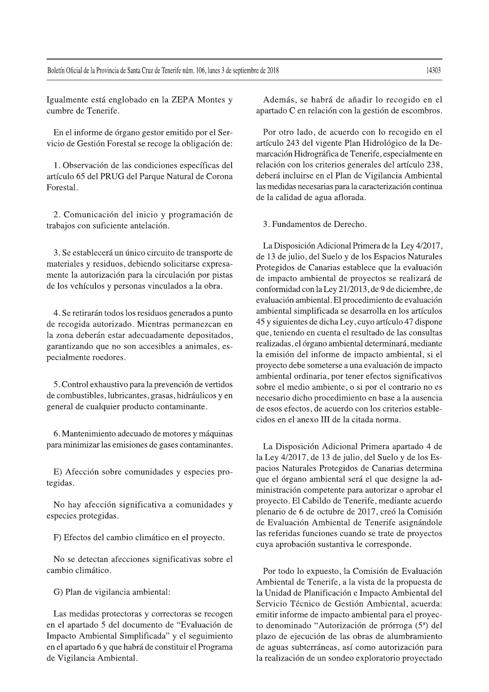Igualmente está englobado en la ZEPA Montes y cumbre de Tenerife.

En el informe de órgano gestor emitido por el Servicio de Gestión Forestal se recoge la obligación de:

1. Observación de las condiciones específicas del artículo 65 del PRUG del Parque Natural de Corona Forestal.

2. Comunicación del inicio y programación de trabajos con suficiente antelación.

3. Se establecerá un único circuito de transporte de materiales y residuos, debiendo solicitarse expresamente la autorización para la circulación por pistas de los vehículos y personas vinculados a la obra.

4. Se retirarán todos los residuos generados a punto de recogida autorizado. Mientras permanezcan en la zona deberán estar adecuadamente depositados, garantizando que no son accesibles a animales, especialmente roedores.

5. Control exhaustivo para la prevención de vertidos de combustibles, lubricantes, grasas, hidráulicos y en general de cualquier producto contaminante.

6. Mantenimiento adecuado de motores y máquinas para minimizar las emisiones de gases contaminantes.

E) Afección sobre comunidades y especies protegidas.

No hay afección significativa a comunidades y especies protegidas.

F) Efectos del cambio climático en el proyecto.

No se detectan afecciones significativas sobre el cambio climático.

G) Plan de vigilancia ambiental:

Las medidas protectoras y correctoras se recogen en el apartado 5 del documento de "Evaluación de Impacto Ambiental Simplificada" y el seguimiento en el apartado 6 y que habrá de constituir el Programa de Vigilancia Ambiental.

Además, se habrá de añadir lo recogido en el apartado C en relación con la gestión de escombros.

Por otro lado, de acuerdo con lo recogido en el artículo 243 del vigente Plan Hidrológico de la Demarcación Hidrográfica de Tenerife, especialmente en relación con los criterios generales del artículo 238, deberá incluirse en el Plan de Vigilancia Ambiental las medidas necesarias para la caracterización continua de la calidad de agua aflorada.

3. Fundamentos de Derecho.

La Disposición Adicional Primera de la Ley 4/2017, de 13 de julio, del Suelo y de los Espacios Naturales Protegidos de Canarias establece que la evaluación de impacto ambiental de proyectos se realizará de conformidad con la Ley 21/2013, de 9 de diciembre, de evaluación ambiental. El procedimiento de evaluación ambiental simplificada se desarrolla en los artículos 45 y siguientes de dicha Ley, cuyo artículo 47 dispone que, teniendo en cuenta el resultado de las consultas realizadas, el órgano ambiental determinará, mediante la emisión del informe de impacto ambiental, si el proyecto debe someterse a una evaluación de impacto ambiental ordinaria, por tener efectos significativos sobre el medio ambiente, o si por el contrario no es necesario dicho procedimiento en base a la ausencia de esos efectos, de acuerdo con los criterios establecidos en el anexo III de la citada norma.

La Disposición Adicional Primera apartado 4 de la Ley 4/2017, de 13 de julio, del Suelo y de los Espacios Naturales Protegidos de Canarias determina que el órgano ambiental será el que designe la administración competente para autorizar o aprobar el proyecto. El Cabildo de Tenerife, mediante acuerdo plenario de 6 de octubre de 2017, creó la Comisión de Evaluación Ambiental de Tenerife asignándole las referidas funciones cuando se trate de proyectos cuya aprobación sustantiva le corresponde.

Por todo lo expuesto, la Comisión de Evaluación Ambiental de Tenerife, a la vista de la propuesta de la Unidad de Planificación e Impacto Ambiental del Servicio Técnico de Gestión Ambiental, acuerda: emitir informe de impacto ambiental para el proyecto denominado "Autorización de prórroga (5ª) del plazo de ejecución de las obras de alumbramiento de aguas subterráneas, así como autorización para la realización de un sondeo exploratorio proyectado